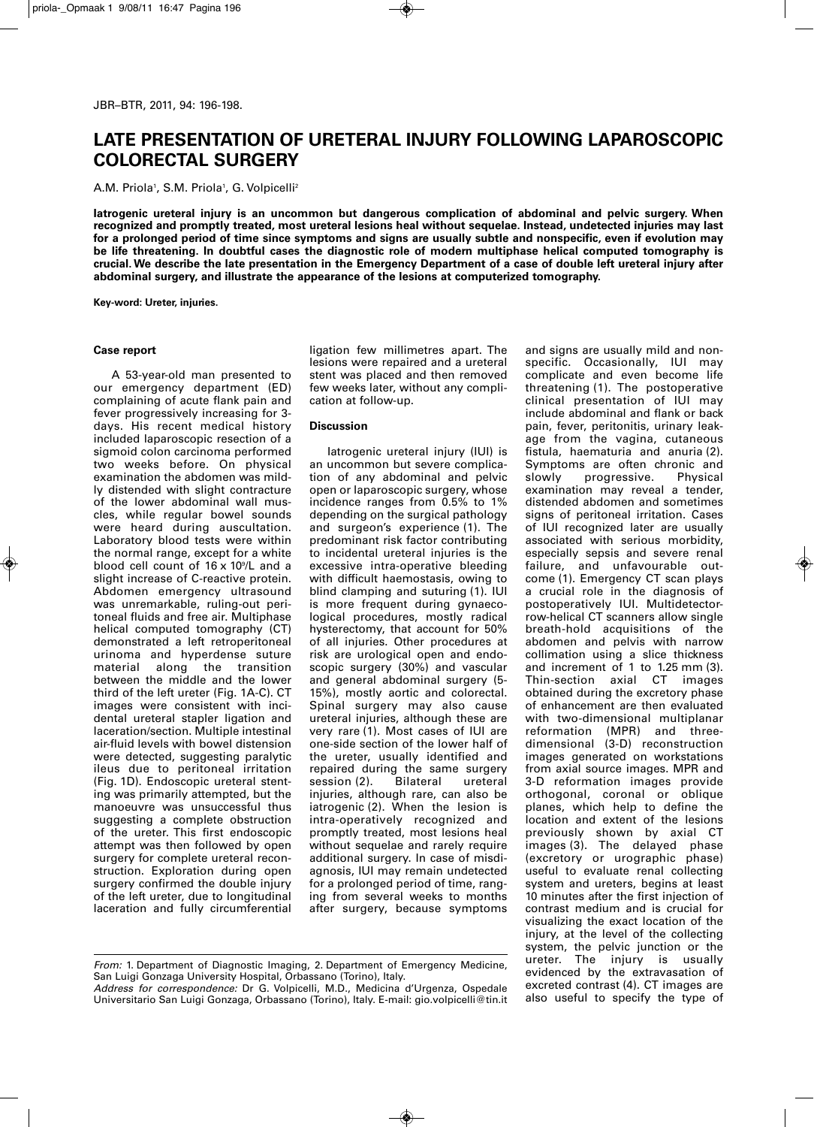## **LATE PRESENTATION OF URETERAL INJURY FOLLOWING LAPAROSCOPIC COLORECTAL SURGERY**

A.M. Priola1, S.M. Priola1, G. Volpicelli<sup>2</sup>

**Iatrogenic ureteral injury is an uncommon but dangerous complication of abdominal and pelvic surgery. When recognized and promptly treated, most ureteral lesions heal without sequelae. Instead, undetected injuries may last** for a prolonged period of time since symptoms and signs are usually subtle and nonspecific, even if evolution may **be life threatening. In doubtful cases the diagnostic role of modern multiphase helical computed tomography is** crucial. We describe the late presentation in the Emergency Department of a case of double left ureteral injury after **abdominal surgery, and illustrate the appearance of the lesions at computerized tomography.**

**Key-word: Ureter, injuries.**

## **Case report**

A 53-year-old man presented to our emergency department (ED) complaining of acute flank pain and fever progressively increasing for 3 days. His recent medical history included laparoscopic resection of a sigmoid colon carcinoma performed two weeks before. On physical examination the abdomen was mildly distended with slight contracture of the lower abdominal wall muscles, while regular bowel sounds were heard during auscultation. Laboratory blood tests were within the normal range, except for a white blood cell count of 16 x 10%L and a slight increase of C-reactive protein. Abdomen emergency ultrasound was unremarkable, ruling-out peritoneal fluids and free air. Multiphase helical computed tomography (CT) demonstrated a left retroperitoneal urinoma and hyperdense suture material along the transition between the middle and the lower third of the left ureter (Fig. 1A-C). CT images were consistent with incidental ureteral stapler ligation and laceration/section. Multiple intestinal air-fluid levels with bowel distension were detected, suggesting paralytic ileus due to peritoneal irritation (Fig. 1D). Endoscopic ureteral stenting was primarily attempted, but the manoeuvre was unsuccessful thus suggesting a complete obstruction of the ureter. This first endoscopic attempt was then followed by open surgery for complete ureteral reconstruction. Exploration during open surgery confirmed the double injury of the left ureter, due to longitudinal laceration and fully circumferential ligation few millimetres apart. The lesions were repaired and a ureteral stent was placed and then removed few weeks later, without any complication at follow-up.

## **Discussion**

Iatrogenic ureteral injury (IUI) is an uncommon but severe complication of any abdominal and pelvic open or laparoscopic surgery, whose incidence ranges from 0.5% to 1% depending on the surgical pathology and surgeon's experience (1). The predominant risk factor contributing to incidental ureteral injuries is the excessive intra-operative bleeding with difficult haemostasis, owing to blind clamping and suturing (1). IUI is more frequent during gynaecological procedures, mostly radical hysterectomy, that account for 50% of all injuries. Other procedures at risk are urological open and endoscopic surgery (30%) and vascular and general abdominal surgery (5- 15%), mostly aortic and colorectal. Spinal surgery may also cause ureteral injuries, although these are very rare (1). Most cases of IUI are one-side section of the lower half of the ureter, usually identified and repaired during the same surgery<br>session (2). Bilateral ureteral session (2). Bilateral ureteral injuries, although rare, can also be iatrogenic (2). When the lesion is intra-operatively recognized and promptly treated, most lesions heal without sequelae and rarely require additional surgery. In case of misdiagnosis, IUI may remain undetected for a prolonged period of time, ranging from several weeks to months after surgery, because symptoms

*Address for correspondence:* Dr G. Volpicelli, M.D., Medicina d'Urgenza, Ospedale Universitario San Luigi Gonzaga, Orbassano (Torino), Italy. E-mail: gio.volpicelli@tin.it

and signs are usually mild and nonspecific. Occasionally, IUI may complicate and even become life threatening (1). The postoperative clinical presentation of IUI may include abdominal and flank or back pain, fever, peritonitis, urinary leakage from the vagina, cutaneous fistula, haematuria and anuria (2). Symptoms are often chronic and<br>slowly progressive. Physical progressive. examination may reveal a tender, distended abdomen and sometimes signs of peritoneal irritation. Cases of IUI recognized later are usually associated with serious morbidity, especially sepsis and severe renal failure, and unfavourable outcome (1). Emergency CT scan plays a crucial role in the diagnosis of postoperatively IUI. Multidetectorrow-helical CT scanners allow single breath-hold acquisitions of the abdomen and pelvis with narrow collimation using a slice thickness and increment of 1 to 1.25 mm (3). Thin-section axial CT images obtained during the excretory phase of enhancement are then evaluated with two-dimensional multiplanar reformation (MPR) and threedimensional (3-D) reconstruction images generated on workstations from axial source images. MPR and 3-D reformation images provide orthogonal, coronal or oblique planes, which help to define the location and extent of the lesions previously shown by axial CT images (3). The delayed phase (excretory or urographic phase) useful to evaluate renal collecting system and ureters, begins at least 10 minutes after the first injection of contrast medium and is crucial for visualizing the exact location of the injury, at the level of the collecting system, the pelvic junction or the ureter. The injury is usually evidenced by the extravasation of excreted contrast (4). CT images are also useful to specify the type of

*From:* 1. Department of Diagnostic Imaging, 2. Department of Emergency Medicine, San Luigi Gonzaga University Hospital, Orbassano (Torino), Italy.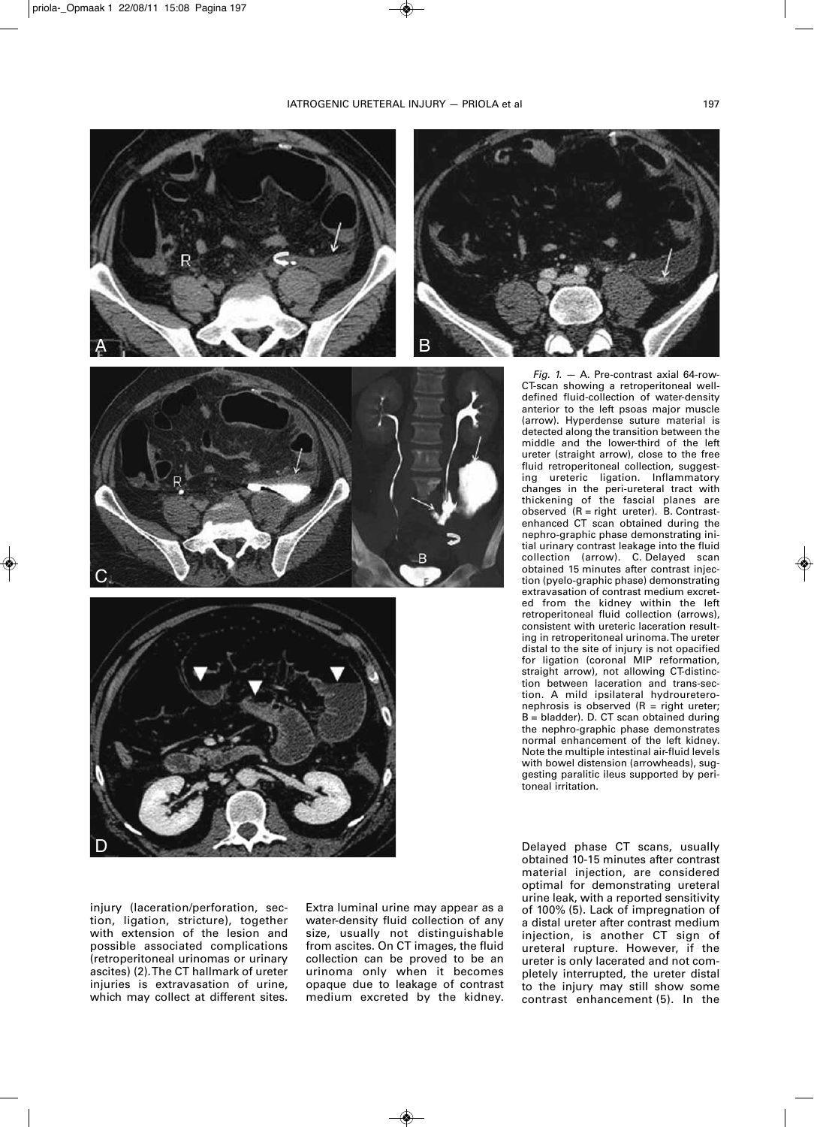







*Fig. 1.* — A. Pre-contrast axial 64-row-CT-scan showing a retroperitoneal welldefined fluid-collection of water-density anterior to the left psoas major muscle (arrow). Hyperdense suture material is detected along the transition between the middle and the lower-third of the left ureter (straight arrow), close to the free fluid retroperitoneal collection, suggesting ureteric ligation. Inflammatory changes in the peri-ureteral tract with thickening of the fascial planes are observed (R = right ureter). B. Contrastenhanced CT scan obtained during the nephro-graphic phase demonstrating initial urinary contrast leakage into the fluid collection (arrow). C. Delayed scan obtained 15 minutes after contrast injection (pyelo-graphic phase) demonstrating extravasation of contrast medium excreted from the kidney within the left retroperitoneal fluid collection (arrows), consistent with ureteric laceration resulting in retroperitoneal urinoma. The ureter distal to the site of injury is not opacified for ligation (coronal MIP reformation, straight arrow), not allowing CT-distinction between laceration and trans-section. A mild ipsilateral hydroureteronephrosis is observed  $(R = right$  ureter; B = bladder). D. CT scan obtained during the nephro-graphic phase demonstrates normal enhancement of the left kidney. Note the multiple intestinal air-fluid levels with bowel distension (arrowheads), suggesting paralitic ileus supported by peritoneal irritation.

injury (laceration/perforation, section, ligation, stricture), together with extension of the lesion and possible associated complications (retroperitoneal urinomas or urinary ascites) (2). The CT hallmark of ureter injuries is extravasation of urine. which may collect at different sites.

Extra luminal urine may appear as a water-density fluid collection of any size, usually not distinguishable from ascites. On CT images, the fluid collection can be proved to be an urinoma only when it becomes opaque due to leakage of contrast medium excreted by the kidney.

Delayed phase CT scans, usually obtained 10-15 minutes after contrast material injection, are considered optimal for demonstrating ureteral urine leak, with a reported sensitivity of 100% (5). Lack of impregnation of a distal ureter after contrast medium injection, is another CT sign of ureteral rupture. However, if the ureter is only lacerated and not completely interrupted, the ureter distal to the injury may still show some contrast enhancement (5). In the